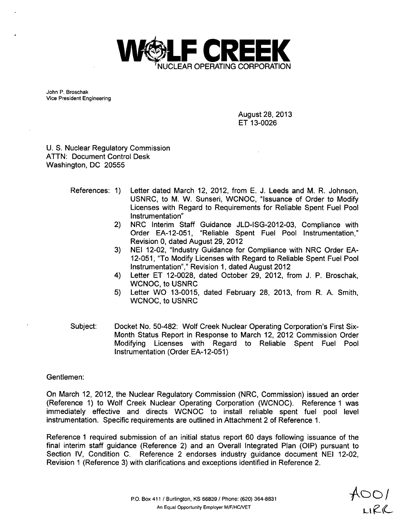

John P. Broschak Vice President Engineering

> August 28, 2013 ET 13-0026

U. S. Nuclear Regulatory Commission ATTN: Document Control Desk Washington, DC 20555

- References: 1) Letter dated March 12, 2012, from E. J. Leeds and M. R. Johnson, USNRC, to M. W. Sunseri, WCNOC, "Issuance of Order to Modify Licenses with Regard to Requirements for Reliable Spent Fuel Pool Instrumentation"
	- 2) NRC Interim Staff Guidance JLD-ISG-2012-03, Compliance with Order EA-12-051, "Reliable Spent Fuel Pool Instrumentation," Revision 0, dated August 29, 2012
	- 3) NEI 12-02, "Industry Guidance for Compliance with NRC Order EA-12-051, "To Modify Licenses with Regard to Reliable Spent Fuel Pool Instrumentation"," Revision 1, dated August 2012
	- 4) Letter ET 12-0028, dated October 29, 2012, from J. P. Broschak, WCNOC, to USNRC
	- 5) Letter WO 13-0015, dated February 28, 2013, from R. A. Smith, WCNOC, to USNRC
- Subject: Docket No. 50-482: Wolf Creek Nuclear Operating Corporation's First Six-Month Status Report in Response to March 12, 2012 Commission Order Modifying Licenses with Regard to Reliable Spent Fuel Pool Instrumentation (Order EA-12-051)

### Gentlemen:

On March 12, 2012, the Nuclear Regulatory Commission (NRC, Commission) issued an order (Reference 1) to Wolf Creek Nuclear Operating Corporation (WCNOC). Reference 1 was immediately effective and directs WCNOC to install reliable spent fuel pool level instrumentation. Specific requirements are outlined in Attachment 2 of Reference 1.

Reference **1** required submission of an initial status report 60 days following issuance of the final interim staff guidance (Reference 2) and an Overall Integrated Plan (OIP) pursuant to Section IV, Condition C. Reference 2 endorses industry guidance document NEI 12-02, Revision 1 (Reference 3) with clarifications and exceptions identified in Reference 2.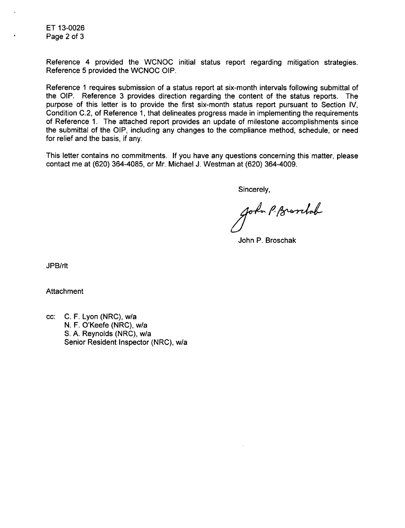ET 13-0026 Page 2 of 3

Reference 4 provided the WCNOC initial status report regarding mitigation strategies. Reference 5 provided the WCNOC OIP.

Reference 1 requires submission of a status report at six-month intervals following submittal of the OIP. Reference 3 provides direction regarding the content of the status reports. The purpose of this letter is to provide the first six-month status report pursuant to Section IV, Condition C.2, of Reference 1, that delineates progress made in implementing the requirements of Reference 1. The attached report provides an update of milestone accomplishments since the submittal of the OIP, including any changes to the compliance method, schedule, or need for relief and the basis, if any.

This letter contains no commitments. If you have any questions concerning this matter, please contact me at (620) 364-4085, or Mr. Michael J. Westman at (620) 364-4009.

Sincerely,

John P. Bronhob

John P. Broschak

JPB/rlt

**Attachment** 

cc: C. F. Lyon (NRC), w/a N. F. O'Keefe (NRC), w/a S. A. Reynolds (NRC), w/a Senior Resident Inspector (NRC), w/a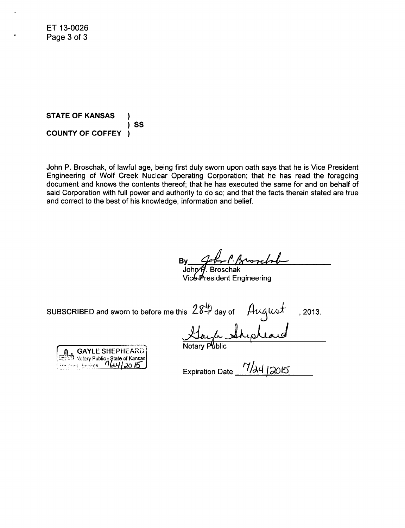ET 13-0026 Page 3 of 3

**STATE** OF **KANSAS COUNTY** OF COFFEY **)S**

John P. Broschak, of lawful age, being first duly sworn upon oath says that he is Vice President Engineering of Wolf Creek Nuclear Operating Corporation; that he has read the foregoing document and knows the contents thereof; that he has executed the same for and on behalf of said Corporation with full power and authority to do so; and that the facts therein stated are true and correct to the best of his knowledge, information and belief.

wich By<br>Johr

Vic&President Engineering

subscribed and sworn to before me this  $28\frac{4}{7}$  day of  $\qquad$  August , 2013.

GAYLE SHEPHEARD<br><sup>21</sup> Notary Public - State of Kansas<br>001 Evrices 14412015 **'I['q7 dO16T**

Gayle

Expiration Date  $\frac{7}{2015}$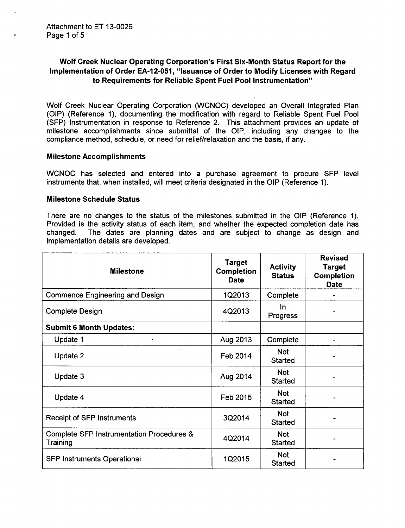# Wolf Creek Nuclear Operating Corporation's First Six-Month Status Report for the Implementation of Order EA-12-051, "Issuance of Order to Modify Licenses with Regard to Requirements for Reliable Spent Fuel Pool Instrumentation"

Wolf Creek Nuclear Operating Corporation (WCNOC) developed an Overall Integrated Plan (OIP) (Reference 1), documenting the modification with regard to Reliable Spent Fuel Pool (SFP) Instrumentation in response to Reference 2. This attachment provides an update of milestone accomplishments since submittal of the OIP, including any changes to the compliance method, schedule, or need for relief/relaxation and the basis, if any.

### Milestone Accomplishments

WCNOC has selected and entered into a purchase agreement to procure **SFP** level instruments that, when installed, will meet criteria designated in the OIP (Reference 1).

### Milestone Schedule Status

There are no changes to the status of the milestones submitted in the OIP (Reference 1). Provided is the activity status of each item, and whether the expected completion date has changed. The dates are planning dates and are subject to change as design and implementation details are developed.

| <b>Milestone</b>                                      | <b>Target</b><br><b>Completion</b><br><b>Date</b> | <b>Activity</b><br><b>Status</b> | <b>Revised</b><br><b>Target</b><br><b>Completion</b><br><b>Date</b> |
|-------------------------------------------------------|---------------------------------------------------|----------------------------------|---------------------------------------------------------------------|
| <b>Commence Engineering and Design</b>                | 1Q2013                                            | Complete                         |                                                                     |
| <b>Complete Design</b>                                | 4Q2013                                            | <u>In</u><br><b>Progress</b>     |                                                                     |
| <b>Submit 6 Month Updates:</b>                        |                                                   |                                  |                                                                     |
| Update 1                                              | Aug 2013                                          | Complete                         |                                                                     |
| Update 2                                              | Feb 2014                                          | <b>Not</b><br><b>Started</b>     |                                                                     |
| Update 3                                              | Aug 2014                                          | <b>Not</b><br><b>Started</b>     |                                                                     |
| Update 4                                              | Feb 2015                                          | <b>Not</b><br><b>Started</b>     |                                                                     |
| Receipt of SFP Instruments                            | 3Q2014                                            | <b>Not</b><br><b>Started</b>     |                                                                     |
| Complete SFP Instrumentation Procedures &<br>Training | 4Q2014                                            | <b>Not</b><br><b>Started</b>     |                                                                     |
| <b>SFP Instruments Operational</b>                    | 1Q2015                                            | <b>Not</b><br><b>Started</b>     |                                                                     |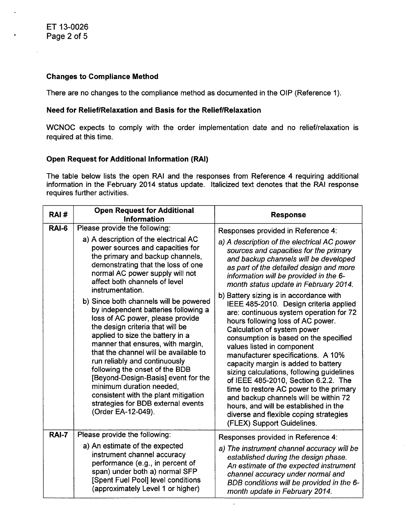## Changes to Compliance Method

There are no changes to the compliance method as documented in the OIP (Reference 1).

## Need for Relief/Relaxation and Basis for the Relief/Relaxation

WCNOC expects to comply with the order implementation date and no relief/relaxation is required at this time.

# Open Request for Additional Information (RAI)

The table below lists the open RAI and the responses from Reference 4 requiring additional information in the February 2014 status update. Italicized text denotes that the RAI response requires further activities.

| RAI#         | <b>Open Request for Additional</b><br><b>Information</b>                                                                                                                                                                                                                                                                                                                                                                                                                                                           | <b>Response</b>                                                                                                                                                                                                                                                                                                                                                                                                                                                                                                                                                                                                                                |  |
|--------------|--------------------------------------------------------------------------------------------------------------------------------------------------------------------------------------------------------------------------------------------------------------------------------------------------------------------------------------------------------------------------------------------------------------------------------------------------------------------------------------------------------------------|------------------------------------------------------------------------------------------------------------------------------------------------------------------------------------------------------------------------------------------------------------------------------------------------------------------------------------------------------------------------------------------------------------------------------------------------------------------------------------------------------------------------------------------------------------------------------------------------------------------------------------------------|--|
| RAI-6        | Please provide the following:                                                                                                                                                                                                                                                                                                                                                                                                                                                                                      | Responses provided in Reference 4:                                                                                                                                                                                                                                                                                                                                                                                                                                                                                                                                                                                                             |  |
|              | a) A description of the electrical AC<br>power sources and capacities for<br>the primary and backup channels,<br>demonstrating that the loss of one<br>normal AC power supply will not<br>affect both channels of level<br>instrumentation.                                                                                                                                                                                                                                                                        | a) A description of the electrical AC power<br>sources and capacities for the primary<br>and backup channels will be developed<br>as part of the detailed design and more<br>information will be provided in the 6-<br>month status update in February 2014.                                                                                                                                                                                                                                                                                                                                                                                   |  |
|              | b) Since both channels will be powered<br>by independent batteries following a<br>loss of AC power, please provide<br>the design criteria that will be<br>applied to size the battery in a<br>manner that ensures, with margin,<br>that the channel will be available to<br>run reliably and continuously<br>following the onset of the BDB<br>[Beyond-Design-Basis] event for the<br>minimum duration needed,<br>consistent with the plant mitigation<br>strategies for BDB external events<br>(Order EA-12-049). | b) Battery sizing is in accordance with<br>IEEE 485-2010. Design criteria applied<br>are: continuous system operation for 72<br>hours following loss of AC power.<br>Calculation of system power<br>consumption is based on the specified<br>values listed in component<br>manufacturer specifications. A 10%<br>capacity margin is added to battery<br>sizing calculations, following guidelines<br>of IEEE 485-2010, Section 6.2.2. The<br>time to restore AC power to the primary<br>and backup channels will be within 72<br>hours, and will be established in the<br>diverse and flexible coping strategies<br>(FLEX) Support Guidelines. |  |
| <b>RAI-7</b> | Please provide the following:                                                                                                                                                                                                                                                                                                                                                                                                                                                                                      | Responses provided in Reference 4:                                                                                                                                                                                                                                                                                                                                                                                                                                                                                                                                                                                                             |  |
|              | a) An estimate of the expected<br>instrument channel accuracy<br>performance (e.g., in percent of<br>span) under both a) normal SFP<br>[Spent Fuel Pool] level conditions<br>(approximately Level 1 or higher)                                                                                                                                                                                                                                                                                                     | a) The instrument channel accuracy will be<br>established during the design phase.<br>An estimate of the expected instrument<br>channel accuracy under normal and<br>BDB conditions will be provided in the 6-<br>month update in February 2014.                                                                                                                                                                                                                                                                                                                                                                                               |  |

 $\overline{\phantom{a}}$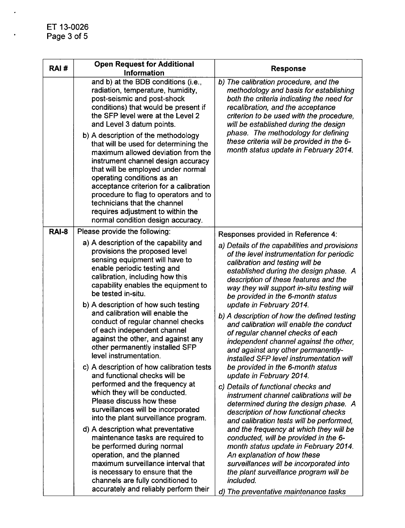$\cdot$ 

 $\ddot{\phantom{0}}$ 

| RAI#         | <b>Open Request for Additional</b><br>Information                                                                                                                                                                                                                                                                                                                                                                                                                                                                                                                                                                                                                                                                                                                                                                                                                                                                                                                                                                                                                                    | <b>Response</b>                                                                                                                                                                                                                                                                                                                                                                                                                                                                                                                                                                                                                                                                                                                                                                                                                                                                                                                                                                                                                                                                                                                                                                                                         |
|--------------|--------------------------------------------------------------------------------------------------------------------------------------------------------------------------------------------------------------------------------------------------------------------------------------------------------------------------------------------------------------------------------------------------------------------------------------------------------------------------------------------------------------------------------------------------------------------------------------------------------------------------------------------------------------------------------------------------------------------------------------------------------------------------------------------------------------------------------------------------------------------------------------------------------------------------------------------------------------------------------------------------------------------------------------------------------------------------------------|-------------------------------------------------------------------------------------------------------------------------------------------------------------------------------------------------------------------------------------------------------------------------------------------------------------------------------------------------------------------------------------------------------------------------------------------------------------------------------------------------------------------------------------------------------------------------------------------------------------------------------------------------------------------------------------------------------------------------------------------------------------------------------------------------------------------------------------------------------------------------------------------------------------------------------------------------------------------------------------------------------------------------------------------------------------------------------------------------------------------------------------------------------------------------------------------------------------------------|
|              | and b) at the BDB conditions (i.e.,<br>radiation, temperature, humidity,<br>post-seismic and post-shock<br>conditions) that would be present if<br>the SFP level were at the Level 2<br>and Level 3 datum points.<br>b) A description of the methodology<br>that will be used for determining the<br>maximum allowed deviation from the<br>instrument channel design accuracy<br>that will be employed under normal<br>operating conditions as an<br>acceptance criterion for a calibration<br>procedure to flag to operators and to<br>technicians that the channel<br>requires adjustment to within the<br>normal condition design accuracy.                                                                                                                                                                                                                                                                                                                                                                                                                                       | b) The calibration procedure, and the<br>methodology and basis for establishing<br>both the criteria indicating the need for<br>recalibration, and the acceptance<br>criterion to be used with the procedure,<br>will be established during the design<br>phase. The methodology for defining<br>these criteria will be provided in the 6-<br>month status update in February 2014.                                                                                                                                                                                                                                                                                                                                                                                                                                                                                                                                                                                                                                                                                                                                                                                                                                     |
| <b>RAI-8</b> | Please provide the following:<br>a) A description of the capability and<br>provisions the proposed level<br>sensing equipment will have to<br>enable periodic testing and<br>calibration, including how this<br>capability enables the equipment to<br>be tested in-situ.<br>b) A description of how such testing<br>and calibration will enable the<br>conduct of regular channel checks<br>of each independent channel<br>against the other, and against any<br>other permanently installed SFP<br>level instrumentation.<br>c) A description of how calibration tests<br>and functional checks will be<br>performed and the frequency at<br>which they will be conducted.<br>Please discuss how these<br>surveillances will be incorporated<br>into the plant surveillance program.<br>d) A description what preventative<br>maintenance tasks are required to<br>be performed during normal<br>operation, and the planned<br>maximum surveillance interval that<br>is necessary to ensure that the<br>channels are fully conditioned to<br>accurately and reliably perform their | Responses provided in Reference 4:<br>a) Details of the capabilities and provisions<br>of the level instrumentation for periodic<br>calibration and testing will be<br>established during the design phase. A<br>description of these features and the<br>way they will support in-situ testing will<br>be provided in the 6-month status<br>update in February 2014.<br>b) A description of how the defined testing<br>and calibration will enable the conduct<br>of regular channel checks of each<br>independent channel against the other,<br>and against any other permanently-<br>installed SFP level instrumentation will<br>be provided in the 6-month status<br>update in February 2014.<br>c) Details of functional checks and<br>instrument channel calibrations will be<br>determined during the design phase. A<br>description of how functional checks<br>and calibration tests will be performed,<br>and the frequency at which they will be<br>conducted, will be provided in the 6-<br>month status update in February 2014.<br>An explanation of how these<br>surveillances will be incorporated into<br>the plant surveillance program will be<br>included.<br>d) The preventative maintenance tasks |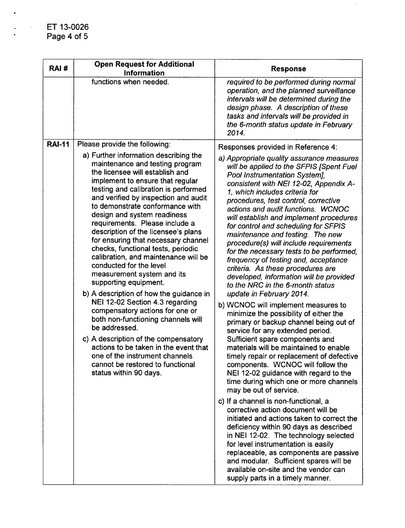| RAI#          | <b>Open Request for Additional</b><br><b>Information</b>                                                                                                                                                                                                                                                                                                                                                                                                                                                                                                                                                                                                                                                                                                                                                                                                                                                                                                                    | <b>Response</b>                                                                                                                                                                                                                                                                                                                                                                                                                                                                                                                                                                                                                                                                                                                                                                                                                                                                                                                                                                                                                                                                                                                                                                                                                                                                                                                                                                                                                                                                                                                                                                              |
|---------------|-----------------------------------------------------------------------------------------------------------------------------------------------------------------------------------------------------------------------------------------------------------------------------------------------------------------------------------------------------------------------------------------------------------------------------------------------------------------------------------------------------------------------------------------------------------------------------------------------------------------------------------------------------------------------------------------------------------------------------------------------------------------------------------------------------------------------------------------------------------------------------------------------------------------------------------------------------------------------------|----------------------------------------------------------------------------------------------------------------------------------------------------------------------------------------------------------------------------------------------------------------------------------------------------------------------------------------------------------------------------------------------------------------------------------------------------------------------------------------------------------------------------------------------------------------------------------------------------------------------------------------------------------------------------------------------------------------------------------------------------------------------------------------------------------------------------------------------------------------------------------------------------------------------------------------------------------------------------------------------------------------------------------------------------------------------------------------------------------------------------------------------------------------------------------------------------------------------------------------------------------------------------------------------------------------------------------------------------------------------------------------------------------------------------------------------------------------------------------------------------------------------------------------------------------------------------------------------|
|               | functions when needed.                                                                                                                                                                                                                                                                                                                                                                                                                                                                                                                                                                                                                                                                                                                                                                                                                                                                                                                                                      | required to be performed during normal<br>operation, and the planned surveillance<br>intervals will be determined during the<br>design phase. A description of these<br>tasks and intervals will be provided in<br>the 6-month status update in February<br>2014.                                                                                                                                                                                                                                                                                                                                                                                                                                                                                                                                                                                                                                                                                                                                                                                                                                                                                                                                                                                                                                                                                                                                                                                                                                                                                                                            |
| <b>RAI-11</b> | Please provide the following:<br>a) Further information describing the<br>maintenance and testing program<br>the licensee will establish and<br>implement to ensure that regular<br>testing and calibration is performed<br>and verified by inspection and audit<br>to demonstrate conformance with<br>design and system readiness<br>requirements. Please include a<br>description of the licensee's plans<br>for ensuring that necessary channel<br>checks, functional tests, periodic<br>calibration, and maintenance will be<br>conducted for the level<br>measurement system and its<br>supporting equipment.<br>b) A description of how the guidance in<br>NEI 12-02 Section 4.3 regarding<br>compensatory actions for one or<br>both non-functioning channels will<br>be addressed.<br>c) A description of the compensatory<br>actions to be taken in the event that<br>one of the instrument channels<br>cannot be restored to functional<br>status within 90 days. | Responses provided in Reference 4:<br>a) Appropriate quality assurance measures<br>will be applied to the SFPIS [Spent Fuel<br>Pool Instrumentation System],<br>consistent with NEI 12-02, Appendix A-<br>1, which includes criteria for<br>procedures, test control, corrective<br>actions and audit functions. WCNOC<br>will establish and implement procedures<br>for control and scheduling for SFPIS<br>maintenance and testing. The new<br>procedure(s) will include requirements<br>for the necessary tests to be performed,<br>frequency of testing and, acceptance<br>criteria. As these procedures are<br>developed, information will be provided<br>to the NRC in the 6-month status<br>update in February 2014.<br>b) WCNOC will implement measures to<br>minimize the possibility of either the<br>primary or backup channel being out of<br>service for any extended period.<br>Sufficient spare components and<br>materials will be maintained to enable<br>timely repair or replacement of defective<br>components. WCNOC will follow the<br>NEI 12-02 guidance with regard to the<br>time during which one or more channels<br>may be out of service.<br>c) If a channel is non-functional, a<br>corrective action document will be<br>initiated and actions taken to correct the<br>deficiency within 90 days as described<br>in NEI 12-02. The technology selected<br>for level instrumentation is easily<br>replaceable, as components are passive<br>and modular. Sufficient spares will be<br>available on-site and the vendor can<br>supply parts in a timely manner. |

 $\mathcal{L}$